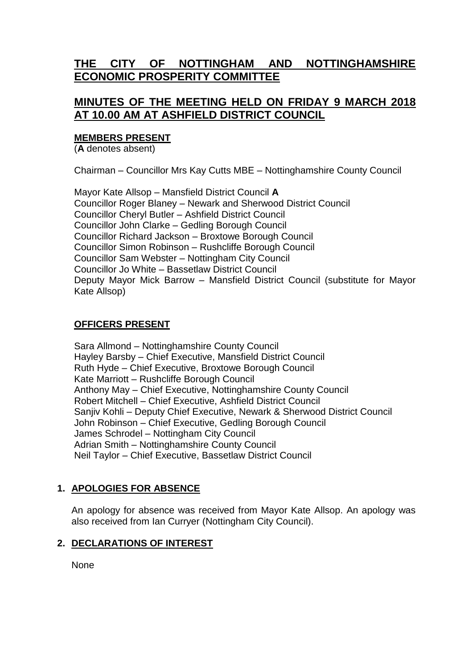# **THE CITY OF NOTTINGHAM AND NOTTINGHAMSHIRE ECONOMIC PROSPERITY COMMITTEE**

## **MINUTES OF THE MEETING HELD ON FRIDAY 9 MARCH 2018 AT 10.00 AM AT ASHFIELD DISTRICT COUNCIL**

### **MEMBERS PRESENT**

(**A** denotes absent)

Chairman – Councillor Mrs Kay Cutts MBE – Nottinghamshire County Council

Mayor Kate Allsop – Mansfield District Council **A** Councillor Roger Blaney – Newark and Sherwood District Council Councillor Cheryl Butler – Ashfield District Council Councillor John Clarke – Gedling Borough Council Councillor Richard Jackson – Broxtowe Borough Council Councillor Simon Robinson – Rushcliffe Borough Council Councillor Sam Webster – Nottingham City Council Councillor Jo White – Bassetlaw District Council Deputy Mayor Mick Barrow – Mansfield District Council (substitute for Mayor Kate Allsop)

### **OFFICERS PRESENT**

Sara Allmond – Nottinghamshire County Council Hayley Barsby – Chief Executive, Mansfield District Council Ruth Hyde – Chief Executive, Broxtowe Borough Council Kate Marriott – Rushcliffe Borough Council Anthony May – Chief Executive, Nottinghamshire County Council Robert Mitchell – Chief Executive, Ashfield District Council Sanjiv Kohli – Deputy Chief Executive, Newark & Sherwood District Council John Robinson – Chief Executive, Gedling Borough Council James Schrodel – Nottingham City Council Adrian Smith – Nottinghamshire County Council Neil Taylor – Chief Executive, Bassetlaw District Council

## **1. APOLOGIES FOR ABSENCE**

An apology for absence was received from Mayor Kate Allsop. An apology was also received from Ian Curryer (Nottingham City Council).

## **2. DECLARATIONS OF INTEREST**

**None**